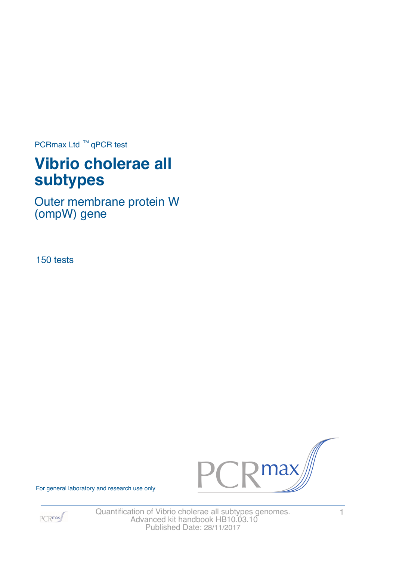PCRmax Ltd  $™$  qPCR test

# **Vibrio cholerae all subtypes**

Outer membrane protein W (ompW) gene

150 tests





For general laboratory and research use only

Quantification of Vibrio cholerae all subtypes genomes. 1 Advanced kit handbook HB10.03.10 Published Date: 28/11/2017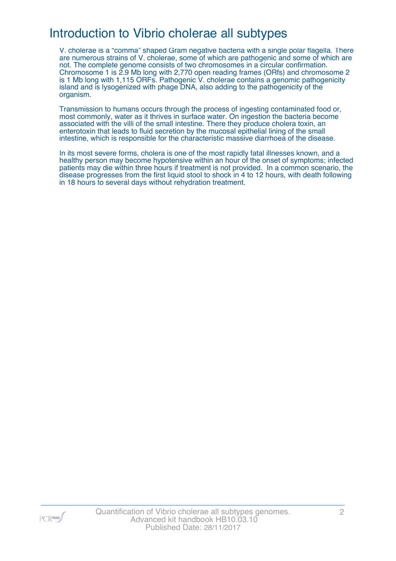## Introduction to Vibrio cholerae all subtypes

V. cholerae is a "comma" shaped Gram negative bacteria with a single polar flagella. There are numerous strains of V. cholerae, some of which are pathogenic and some of which are not. The complete genome consists of two chromosomes in a circular confirmation. Chromosome 1 is 2.9 Mb long with 2,770 open reading frames (ORfs) and chromosome 2 is 1 Mb long with 1,115 ORFs. Pathogenic V. cholerae contains a genomic pathogenicity island and is lysogenized with phage DNA, also adding to the pathogenicity of the organism.

Transmission to humans occurs through the process of ingesting contaminated food or, most commonly, water as it thrives in surface water. On ingestion the bacteria become associated with the villi of the small intestine. There they produce cholera toxin, an enterotoxin that leads to fluid secretion by the mucosal epithelial lining of the small intestine, which is responsible for the characteristic massive diarrhoea of the disease.

In its most severe forms, cholera is one of the most rapidly fatal illnesses known, and a healthy person may become hypotensive within an hour of the onset of symptoms; infected patients may die within three hours if treatment is not provided. In a common scenario, the disease progresses from the first liquid stool to shock in 4 to 12 hours, with death following in 18 hours to several days without rehydration treatment.

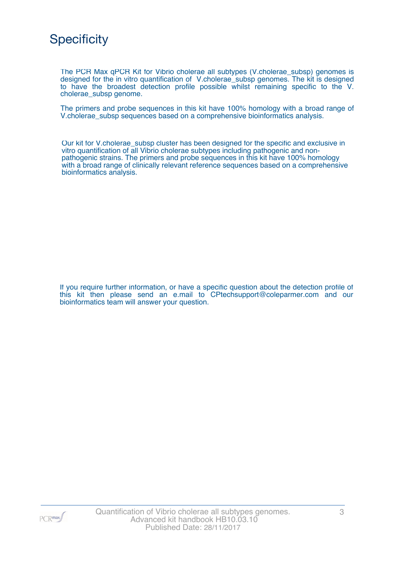

The PCR Max qPCR Kit for Vibrio cholerae all subtypes (V.cholerae\_subsp) genomes is designed for the in vitro quantification of V.cholerae\_subsp genomes. The kit is designed to have the broadest detection profile possible whilst remaining specific to the V. cholerae\_subsp genome.

The primers and probe sequences in this kit have 100% homology with a broad range of V.cholerae subsp sequences based on a comprehensive bioinformatics analysis.

Our kit for V.cholerae\_subsp cluster has been designed for the specific and exclusive in vitro quantification of all Vibrio cholerae subtypes including pathogenic and nonpathogenic strains. The primers and probe sequences in this kit have 100% homology with a broad range of clinically relevant reference sequences based on a comprehensive bioinformatics analysis.

If you require further information, or have a specific question about the detection profile of this kit then please send an e.mail to CPtechsupport@coleparmer.com and our bioinformatics team will answer your question.

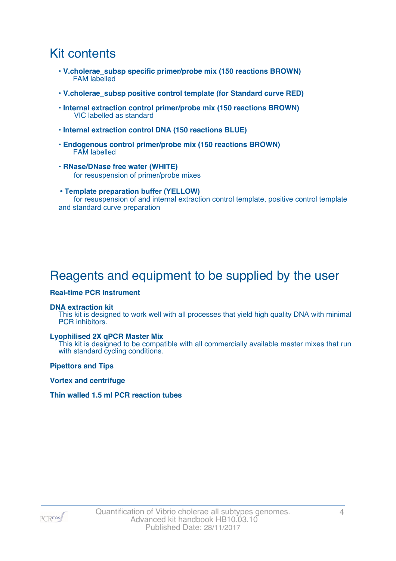### Kit contents

- **V.cholerae\_subsp specific primer/probe mix (150 reactions BROWN)** FAM labelled
- **V.cholerae\_subsp positive control template (for Standard curve RED)**
- **Internal extraction control primer/probe mix (150 reactions BROWN)** VIC labelled as standard
- **Internal extraction control DNA (150 reactions BLUE)**
- **Endogenous control primer/probe mix (150 reactions BROWN)** FAM labelled
- **RNase/DNase free water (WHITE)** for resuspension of primer/probe mixes
- **Template preparation buffer (YELLOW)** for resuspension of and internal extraction control template, positive control template and standard curve preparation

## Reagents and equipment to be supplied by the user

#### **Real-time PCR Instrument**

#### **DNA extraction kit**

This kit is designed to work well with all processes that yield high quality DNA with minimal PCR inhibitors.

#### **Lyophilised 2X qPCR Master Mix**

This kit is designed to be compatible with all commercially available master mixes that run with standard cycling conditions.

**Pipettors and Tips**

**Vortex and centrifuge**

#### **Thin walled 1.5 ml PCR reaction tubes**

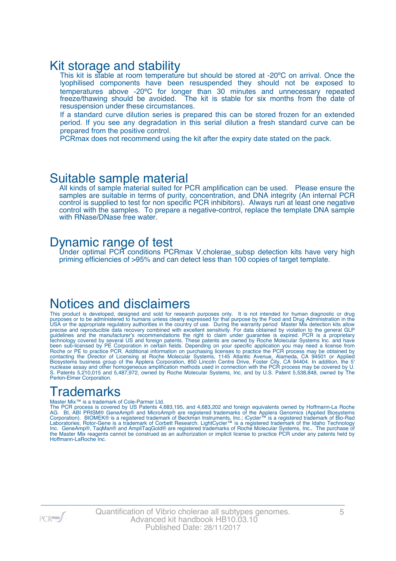### Kit storage and stability

This kit is stable at room temperature but should be stored at -20°C on arrival. Once the lyophilised components have been resuspended they should not be exposed to temperatures above -20ºC for longer than 30 minutes and unnecessary repeated freeze/thawing should be avoided. The kit is stable for six months from the date of resuspension under these circumstances.

If a standard curve dilution series is prepared this can be stored frozen for an extended period. If you see any degradation in this serial dilution a fresh standard curve can be prepared from the positive control.

PCRmax does not recommend using the kit after the expiry date stated on the pack.

### Suitable sample material

All kinds of sample material suited for PCR amplification can be used. Please ensure the samples are suitable in terms of purity, concentration, and DNA integrity (An internal PCR control is supplied to test for non specific PCR inhibitors). Always run at least one negative control with the samples. To prepare a negative-control, replace the template DNA sample with RNase/DNase free water.

### Dynamic range of test

Under optimal PCR conditions PCRmax V.cholerae\_subsp detection kits have very high priming efficiencies of >95% and can detect less than 100 copies of target template.

### Notices and disclaimers

This product is developed, designed and sold for research purposes only. It is not intended for human diagnostic or drug purposes or to be administered to humans unless clearly expressed for that purpose by the Food and Drug Administration in the USA or the appropriate regulatory authorities in the country of use. During the warranty period Master Mix detection kits allow precise and reproducible data recovery combined with excellent sensitivity. For data obtained by violation to the general GLP guidelines and the manufacturer's recommendations the right to claim under guarantee is expired. PCR is a proprietary technology covered by several US and foreign patents. These patents are owned by Roche Molecular Systems Inc. and have been sub-licensed by PE Corporation in certain fields. Depending on your specific application you may need a license from Roche or PE to practice PCR. Additional information on purchasing licenses to practice the PCR process may be obtained by contacting the Director of Licensing at Roche Molecular Systems, 1145 Atlantic Avenue, Alameda, CA 94501 or Applied Biosystems business group of the Applera Corporation, 850 Lincoln Centre Drive, Foster City, CA 94404. In addition, the 5' nuclease assay and other homogeneous amplification methods used in connection with the PCR process may be covered by U. S. Patents 5,210,015 and 5,487,972, owned by Roche Molecular Systems, Inc, and by U.S. Patent 5,538,848, owned by The Perkin-Elmer Corporation.

### **Trademarks**

#### Master Mix™ is a trademark of Cole-Parmer Ltd.

The PCR process is covered by US Patents 4,683,195, and 4,683,202 and foreign equivalents owned by Hoffmann-La Roche AG. BI, ABI PRISM® GeneAmp® and MicroAmp® are registered trademarks of the Applera Genomics (Applied Biosystems Corporation). BIOMEK® is a registered trademark of Beckman Instruments, Inc.; iCycler™ is a registered trademark of Bio-Rad Laboratories, Rotor-Gene is a trademark of Corbett Research. LightCycler™ is a registered trademark of the Idaho Technology Inc. GeneAmp®, TaqMan® and AmpliTaqGold® are registered trademarks of Roche Molecular Systems, Inc., The purchase of the Master Mix reagents cannot be construed as an authorization or implicit license to practice PCR under any patents held by Hoffmann-LaRoche Inc.

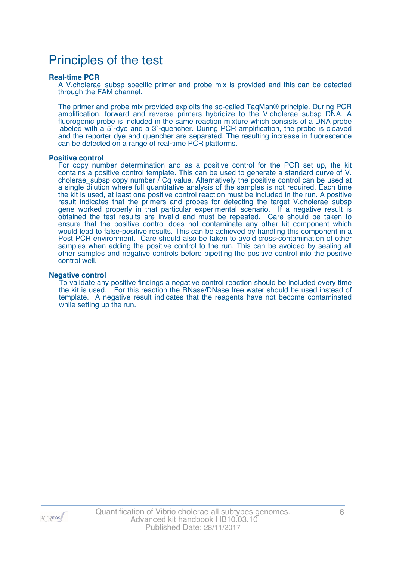## Principles of the test

#### **Real-time PCR**

A V.cholerae\_subsp specific primer and probe mix is provided and this can be detected through the FAM channel.

The primer and probe mix provided exploits the so-called TaqMan® principle. During PCR amplification, forward and reverse primers hybridize to the V.cholerae subsp DNA. A fluorogenic probe is included in the same reaction mixture which consists of a DNA probe labeled with a 5`-dye and a 3`-quencher. During PCR amplification, the probe is cleaved and the reporter dye and quencher are separated. The resulting increase in fluorescence can be detected on a range of real-time PCR platforms.

#### **Positive control**

For copy number determination and as a positive control for the PCR set up, the kit contains a positive control template. This can be used to generate a standard curve of V. cholerae\_subsp copy number / Cq value. Alternatively the positive control can be used at a single dilution where full quantitative analysis of the samples is not required. Each time the kit is used, at least one positive control reaction must be included in the run. A positive result indicates that the primers and probes for detecting the target V.cholerae\_subsp gene worked properly in that particular experimental scenario. If a negative result is obtained the test results are invalid and must be repeated. Care should be taken to ensure that the positive control does not contaminate any other kit component which would lead to false-positive results. This can be achieved by handling this component in a Post PCR environment. Care should also be taken to avoid cross-contamination of other samples when adding the positive control to the run. This can be avoided by sealing all other samples and negative controls before pipetting the positive control into the positive control well.

#### **Negative control**

To validate any positive findings a negative control reaction should be included every time the kit is used. For this reaction the RNase/DNase free water should be used instead of template. A negative result indicates that the reagents have not become contaminated while setting up the run.

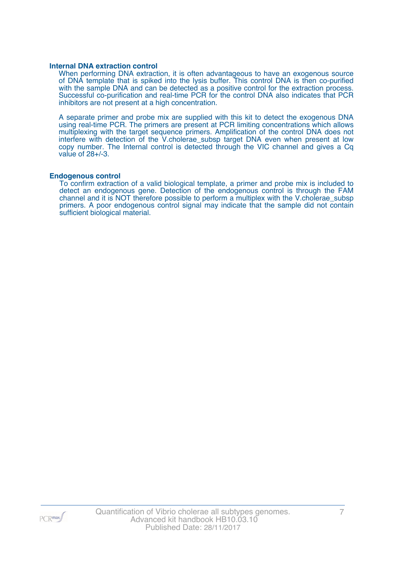#### **Internal DNA extraction control**

When performing DNA extraction, it is often advantageous to have an exogenous source of DNA template that is spiked into the lysis buffer. This control DNA is then co-purified with the sample DNA and can be detected as a positive control for the extraction process. Successful co-purification and real-time PCR for the control DNA also indicates that PCR inhibitors are not present at a high concentration.

A separate primer and probe mix are supplied with this kit to detect the exogenous DNA using real-time PCR. The primers are present at PCR limiting concentrations which allows multiplexing with the target sequence primers. Amplification of the control DNA does not interfere with detection of the V.cholerae\_subsp target DNA even when present at low copy number. The Internal control is detected through the VIC channel and gives a Cq value of 28+/-3.

#### **Endogenous control**

To confirm extraction of a valid biological template, a primer and probe mix is included to detect an endogenous gene. Detection of the endogenous control is through the FAM channel and it is NOT therefore possible to perform a multiplex with the V.cholerae\_subsp primers. A poor endogenous control signal may indicate that the sample did not contain sufficient biological material.

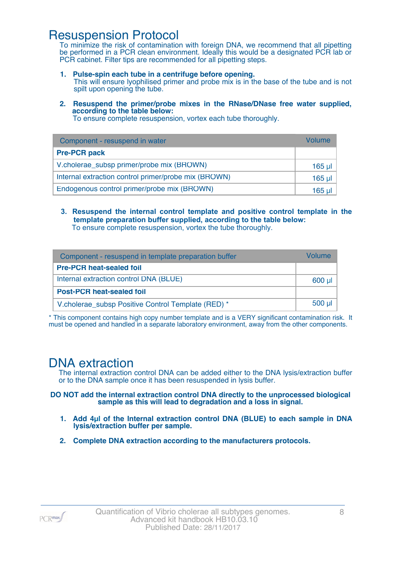### Resuspension Protocol

To minimize the risk of contamination with foreign DNA, we recommend that all pipetting be performed in a PCR clean environment. Ideally this would be a designated PCR lab or PCR cabinet. Filter tips are recommended for all pipetting steps.

- **1. Pulse-spin each tube in a centrifuge before opening.** This will ensure lyophilised primer and probe mix is in the base of the tube and is not spilt upon opening the tube.
- **2. Resuspend the primer/probe mixes in the RNase/DNase free water supplied, according to the table below:**

To ensure complete resuspension, vortex each tube thoroughly.

| Component - resuspend in water                       | Volume   |
|------------------------------------------------------|----------|
| <b>Pre-PCR pack</b>                                  |          |
| V.cholerae_subsp primer/probe mix (BROWN)            | $165$ µl |
| Internal extraction control primer/probe mix (BROWN) | $165$ µl |
| Endogenous control primer/probe mix (BROWN)          | 165 ul   |

**3. Resuspend the internal control template and positive control template in the template preparation buffer supplied, according to the table below:** To ensure complete resuspension, vortex the tube thoroughly.

| Component - resuspend in template preparation buffer |          |  |
|------------------------------------------------------|----------|--|
| <b>Pre-PCR heat-sealed foil</b>                      |          |  |
| Internal extraction control DNA (BLUE)               | $600$ µ  |  |
| <b>Post-PCR heat-sealed foil</b>                     |          |  |
| V.cholerae_subsp Positive Control Template (RED) *   | $500$ µl |  |

\* This component contains high copy number template and is a VERY significant contamination risk. It must be opened and handled in a separate laboratory environment, away from the other components.

### DNA extraction

The internal extraction control DNA can be added either to the DNA lysis/extraction buffer or to the DNA sample once it has been resuspended in lysis buffer.

**DO NOT add the internal extraction control DNA directly to the unprocessed biological sample as this will lead to degradation and a loss in signal.**

- **1. Add 4µl of the Internal extraction control DNA (BLUE) to each sample in DNA lysis/extraction buffer per sample.**
- **2. Complete DNA extraction according to the manufacturers protocols.**

 $PCR$ <sup>max</sup>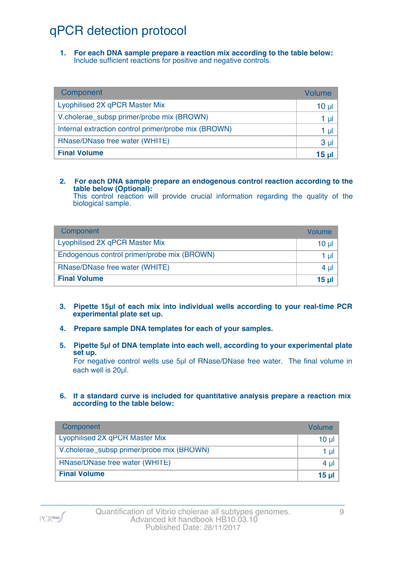## qPCR detection protocol

**1. For each DNA sample prepare a reaction mix according to the table below:** Include sufficient reactions for positive and negative controls.

| Component                                            | Volume          |
|------------------------------------------------------|-----------------|
| Lyophilised 2X qPCR Master Mix                       | 10 <sub>µ</sub> |
| V.cholerae_subsp primer/probe mix (BROWN)            | 1 µl            |
| Internal extraction control primer/probe mix (BROWN) | 1 µl            |
| RNase/DNase free water (WHITE)                       | 3 <sub>µ</sub>  |
| <b>Final Volume</b>                                  | 15 <sub>µ</sub> |

#### **2. For each DNA sample prepare an endogenous control reaction according to the table below (Optional):**

This control reaction will provide crucial information regarding the quality of the biological sample.

| Component                                   | Volume |
|---------------------------------------------|--------|
| Lyophilised 2X qPCR Master Mix              | 10 ul  |
| Endogenous control primer/probe mix (BROWN) | 1 ul   |
| RNase/DNase free water (WHITE)              | 4 ul   |
| <b>Final Volume</b>                         | 15 ul  |

- **3. Pipette 15µl of each mix into individual wells according to your real-time PCR experimental plate set up.**
- **4. Prepare sample DNA templates for each of your samples.**
- **5. Pipette 5µl of DNA template into each well, according to your experimental plate set up.**

For negative control wells use 5µl of RNase/DNase free water. The final volume in each well is 20ul.

**6. If a standard curve is included for quantitative analysis prepare a reaction mix according to the table below:**

| Component                                 | Volume   |
|-------------------------------------------|----------|
| Lyophilised 2X qPCR Master Mix            | $10 \mu$ |
| V.cholerae_subsp primer/probe mix (BROWN) | 1 $\mu$  |
| RNase/DNase free water (WHITE)            | 4 $\mu$  |
| <b>Final Volume</b>                       | 15 $\mu$ |

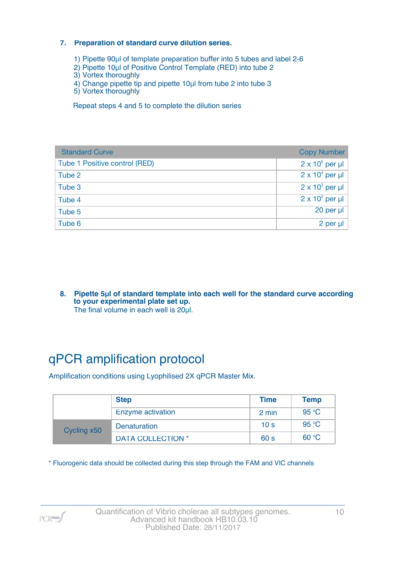#### **7. Preparation of standard curve dilution series.**

- 1) Pipette 90µl of template preparation buffer into 5 tubes and label 2-6
- 2) Pipette 10µl of Positive Control Template (RED) into tube 2
- 3) Vortex thoroughly
- 4) Change pipette tip and pipette 10µl from tube 2 into tube 3
- 5) Vortex thoroughly

Repeat steps 4 and 5 to complete the dilution series

| <b>Standard Curve</b>         | <b>Copy Number</b>     |
|-------------------------------|------------------------|
| Tube 1 Positive control (RED) | $2 \times 10^5$ per µl |
| Tube 2                        | $2 \times 10^4$ per µl |
| Tube 3                        | $2 \times 10^3$ per µl |
| Tube 4                        | $2 \times 10^2$ per µl |
| Tube 5                        | 20 per µl              |
| Tube 6                        | 2 per µl               |

**8. Pipette 5µl of standard template into each well for the standard curve according to your experimental plate set up.** The final volume in each well is 20µl.

## qPCR amplification protocol

Amplification conditions using Lyophilised 2X qPCR Master Mix.

|             | <b>Step</b>              | <b>Time</b>     | <b>Temp</b> |
|-------------|--------------------------|-----------------|-------------|
|             | Enzyme activation        | 2 min           | 95 °C       |
| Cycling x50 | <b>Denaturation</b>      | 10 <sub>s</sub> | 95 °C       |
|             | <b>DATA COLLECTION *</b> | 60 <sub>s</sub> | 60 °C       |

\* Fluorogenic data should be collected during this step through the FAM and VIC channels

PCR<sub>max</sub>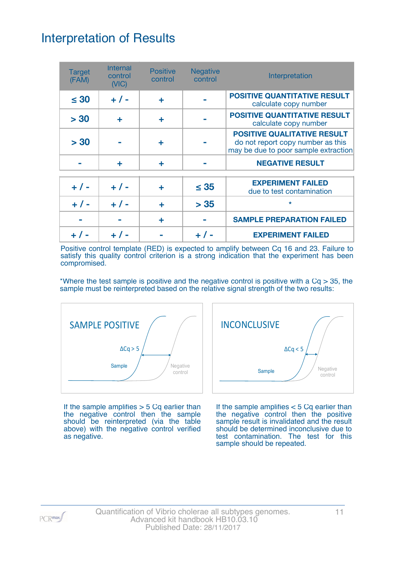## Interpretation of Results

| <b>Target</b><br>(FAM) | <b>Internal</b><br>control<br>(NIC) | <b>Positive</b><br>control | <b>Negative</b><br>control | Interpretation                                                                                                  |
|------------------------|-------------------------------------|----------------------------|----------------------------|-----------------------------------------------------------------------------------------------------------------|
| $\leq 30$              | $+ 1 -$                             | ÷                          |                            | <b>POSITIVE QUANTITATIVE RESULT</b><br>calculate copy number                                                    |
| > 30                   | ÷                                   | ÷                          |                            | <b>POSITIVE QUANTITATIVE RESULT</b><br>calculate copy number                                                    |
| > 30                   |                                     | ÷                          |                            | <b>POSITIVE QUALITATIVE RESULT</b><br>do not report copy number as this<br>may be due to poor sample extraction |
|                        | ÷                                   | ÷                          |                            | <b>NEGATIVE RESULT</b>                                                                                          |
| $+ 1 -$                | $+ 1 -$                             | ÷                          | $\leq 35$                  | <b>EXPERIMENT FAILED</b><br>due to test contamination                                                           |
| $+ 1 -$                | $+ 1 -$                             | ÷                          | > 35                       | $\star$                                                                                                         |
|                        |                                     | ÷                          |                            | <b>SAMPLE PREPARATION FAILED</b>                                                                                |
|                        |                                     |                            |                            | <b>EXPERIMENT FAILED</b>                                                                                        |

Positive control template (RED) is expected to amplify between Cq 16 and 23. Failure to satisfy this quality control criterion is a strong indication that the experiment has been compromised.

\*Where the test sample is positive and the negative control is positive with a  $Cq > 35$ , the sample must be reinterpreted based on the relative signal strength of the two results:



If the sample amplifies  $>$  5 Cq earlier than the negative control then the sample should be reinterpreted (via the table above) with the negative control verified as negative.



If the sample amplifies < 5 Cq earlier than the negative control then the positive sample result is invalidated and the result should be determined inconclusive due to test contamination. The test for this sample should be repeated.